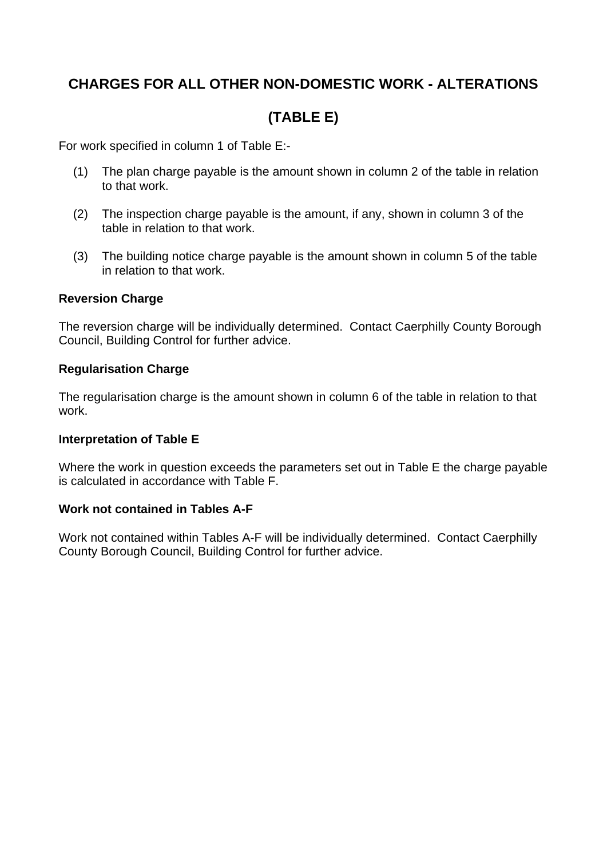## **CHARGES FOR ALL OTHER NON-DOMESTIC WORK - ALTERATIONS**

# **(TABLE E)**

For work specified in column 1 of Table E:-

- (1) The plan charge payable is the amount shown in column 2 of the table in relation to that work.
- (2) The inspection charge payable is the amount, if any, shown in column 3 of the table in relation to that work.
- (3) The building notice charge payable is the amount shown in column 5 of the table in relation to that work.

## **Reversion Charge**

The reversion charge will be individually determined. Contact Caerphilly County Borough Council, Building Control for further advice.

## **Regularisation Charge**

The regularisation charge is the amount shown in column 6 of the table in relation to that work.

#### **Interpretation of Table E**

Where the work in question exceeds the parameters set out in Table E the charge payable is calculated in accordance with Table F.

## **Work not contained in Tables A-F**

Work not contained within Tables A-F will be individually determined. Contact Caerphilly County Borough Council, Building Control for further advice.